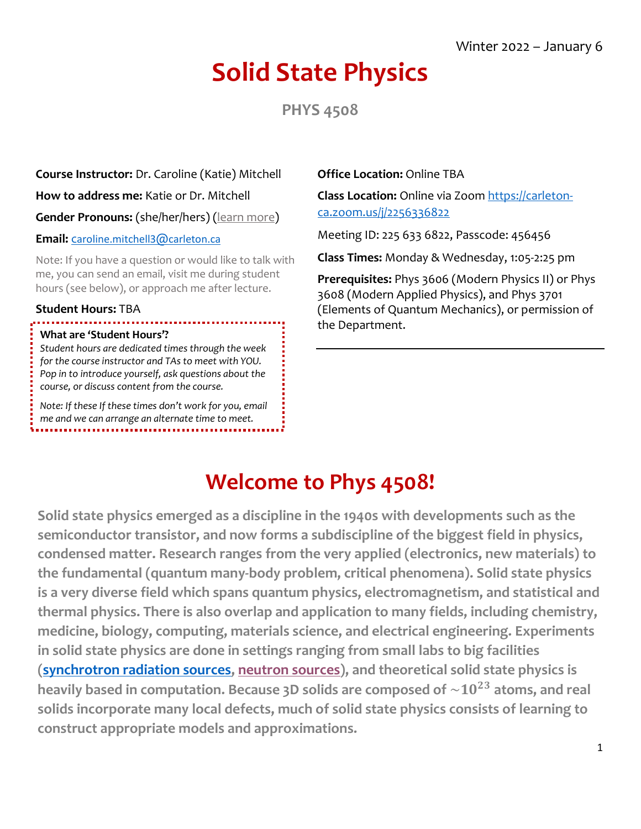# **Solid State Physics**

**PHYS 4508**

**Course Instructor:** Dr. Caroline (Katie) Mitchell **How to address me:** Katie or Dr. Mitchell **Gender Pronouns:** (she/her/hers) [\(learn more\)](https://www.vanderbilt.edu/facultysenate/engage/PRONOUNPOSTER.pdf) **Email:** c[aroline.mitchell3](mailto:caroline.mitchell3@carleton.ca)@[carleton.ca](mailto:caroline.mitchell3@carleton.ca)

Note: If you have a question or would like to talk with me, you can send an email, visit me during student hours (see below), or approach me after lecture.

#### **Student Hours:** TBA

#### **What are 'Student Hours'?**

*Student hours are dedicated times through the week for the course instructor and TAs to meet with YOU. Pop in to introduce yourself, ask questions about the course, or discuss content from the course.*

*Note: If these If these times don't work for you, email me and we can arrange an alternate time to meet.*

#### **Office Location:** Online TBA

**Class Location:** Online via Zoom [https://carleton](https://carleton-ca.zoom.us/j/2256336822)[ca.zoom.us/j/2256336822](https://carleton-ca.zoom.us/j/2256336822) 

Meeting ID: 225 633 6822, Passcode: 456456

**Class Times:** Monday & Wednesday, 1:05-2:25 pm

**Prerequisites:** Phys 3606 (Modern Physics II) or Phys 3608 (Modern Applied Physics), and Phys 3701 (Elements of Quantum Mechanics), or permission of the Department.

# **Welcome to Phys 4508!**

**Solid state physics emerged as a discipline in the 1940s with developments such as the semiconductor transistor, and now forms a subdiscipline of the biggest field in physics, condensed matter. Research ranges from the very applied (electronics, new materials) to the fundamental (quantum many-body problem, critical phenomena). Solid state physics is a very diverse field which spans quantum physics, electromagnetism, and statistical and thermal physics. There is also overlap and application to many fields, including chemistry, medicine, biology, computing, materials science, and electrical engineering. Experiments in solid state physics are done in settings ranging from small labs to big facilities (synchrotron [radiation sources,](https://www.lightsource.ca/public/what-is-a-synchrotron.php#Overview) [neutron sources\)](https://www.isis.stfc.ac.uk/Pages/What-does-ISIS-Neutron-Muon-Source-do.aspx), and theoretical solid state physics is**  heavily based in computation. Because  $3D$  solids are composed of  $\sim 10^{23}$  atoms, and real **solids incorporate many local defects, much of solid state physics consists of learning to construct appropriate models and approximations.**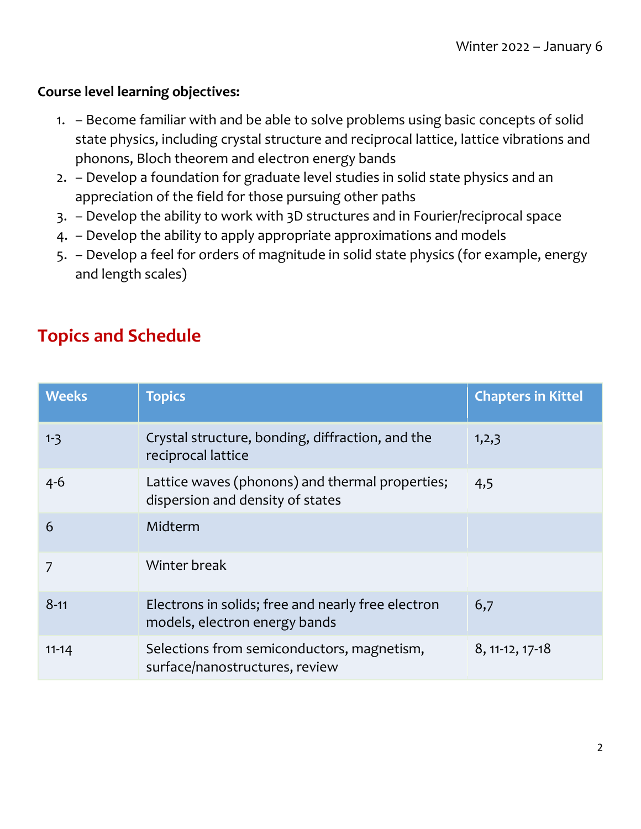#### **Course level learning objectives:**

- 1. Become familiar with and be able to solve problems using basic concepts of solid state physics, including crystal structure and reciprocal lattice, lattice vibrations and phonons, Bloch theorem and electron energy bands
- 2. Develop a foundation for graduate level studies in solid state physics and an appreciation of the field for those pursuing other paths
- 3. Develop the ability to work with 3D structures and in Fourier/reciprocal space
- 4. Develop the ability to apply appropriate approximations and models
- 5. Develop a feel for orders of magnitude in solid state physics (for example, energy and length scales)

#### **Topics and Schedule**

| <b>Weeks</b> | <b>Topics</b>                                                                       | <b>Chapters in Kittel</b> |
|--------------|-------------------------------------------------------------------------------------|---------------------------|
| $1 - 3$      | Crystal structure, bonding, diffraction, and the<br>reciprocal lattice              | 1,2,3                     |
| $4 - 6$      | Lattice waves (phonons) and thermal properties;<br>dispersion and density of states | 4,5                       |
| 6            | Midterm                                                                             |                           |
| 7            | Winter break                                                                        |                           |
| $8 - 11$     | Electrons in solids; free and nearly free electron<br>models, electron energy bands | 6,7                       |
| $11 - 14$    | Selections from semiconductors, magnetism,<br>surface/nanostructures, review        | 8, 11-12, 17-18           |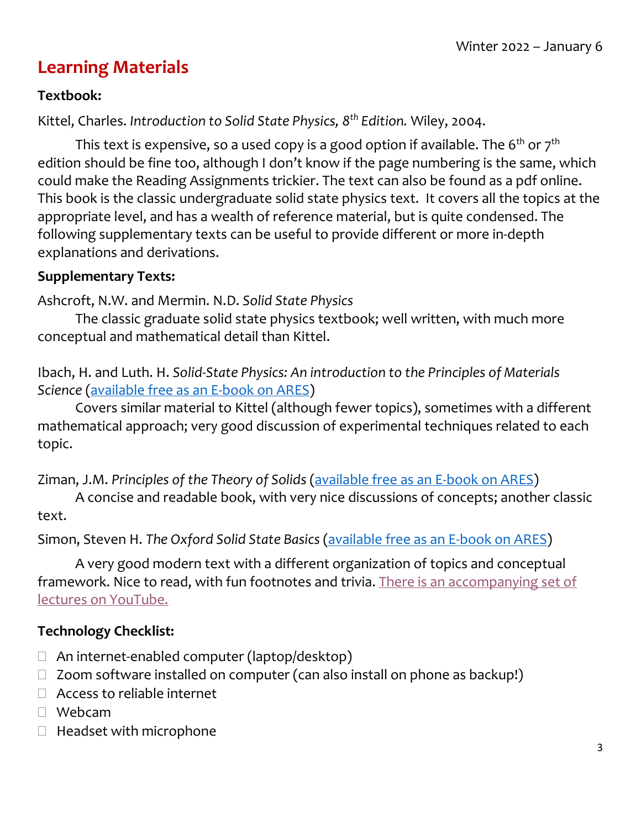### **Learning Materials**

#### **Textbook:**

Kittel, Charles. *Introduction to Solid State Physics, 8th Edition.* Wiley, 2004.

This text is expensive, so a used copy is a good option if available. The  $6<sup>th</sup>$  or  $7<sup>th</sup>$ edition should be fine too, although I don't know if the page numbering is the same, which could make the Reading Assignments trickier. The text can also be found as a pdf online. This book is the classic undergraduate solid state physics text. It covers all the topics at the appropriate level, and has a wealth of reference material, but is quite condensed. The following supplementary texts can be useful to provide different or more in-depth explanations and derivations.

#### **Supplementary Texts:**

Ashcroft, N.W. and Mermin. N.D. *Solid State Physics*

The classic graduate solid state physics textbook; well written, with much more conceptual and mathematical detail than Kittel.

Ibach, H. and Luth. H. *Solid-State Physics: An introduction to the Principles of Materials Science* [\(available free as an E-book on ARES\)](https://brightspace.carleton.ca/d2l/common/dialogs/quickLink/quickLink.d2l?ou=59681&type=lti&rcode=3C6E53FE-2A56-4BA7-B1C5-B1368AAEFEB0-506&srcou=6606&launchFramed=1&framedName=ARES+Reserves)

Covers similar material to Kittel (although fewer topics), sometimes with a different mathematical approach; very good discussion of experimental techniques related to each topic.

Ziman, J.M. *Principles of the Theory of Solids* [\(available free as an E-book on ARES\)](https://brightspace.carleton.ca/d2l/common/dialogs/quickLink/quickLink.d2l?ou=59681&type=lti&rcode=3C6E53FE-2A56-4BA7-B1C5-B1368AAEFEB0-506&srcou=6606&launchFramed=1&framedName=ARES+Reserves)

A concise and readable book, with very nice discussions of concepts; another classic text.

Simon, Steven H. *The Oxford Solid State Basics* [\(available free as an E-book on ARES\)](https://brightspace.carleton.ca/d2l/common/dialogs/quickLink/quickLink.d2l?ou=59681&type=lti&rcode=3C6E53FE-2A56-4BA7-B1C5-B1368AAEFEB0-506&srcou=6606&launchFramed=1&framedName=ARES+Reserves)

A very good modern text with a different organization of topics and conceptual framework. Nice to read, with fun footnotes and trivia. [There is an accompanying set of](https://podcasts.ox.ac.uk/series/oxford-solid-state-basics)  [lectures on YouTube.](https://podcasts.ox.ac.uk/series/oxford-solid-state-basics)

#### **Technology Checklist:**

- $\Box$  An internet-enabled computer (laptop/desktop)
- $\Box$  Zoom software installed on computer (can also install on phone as backup!)
- □ Access to reliable internet
- Webcam
- $\Box$  Headset with microphone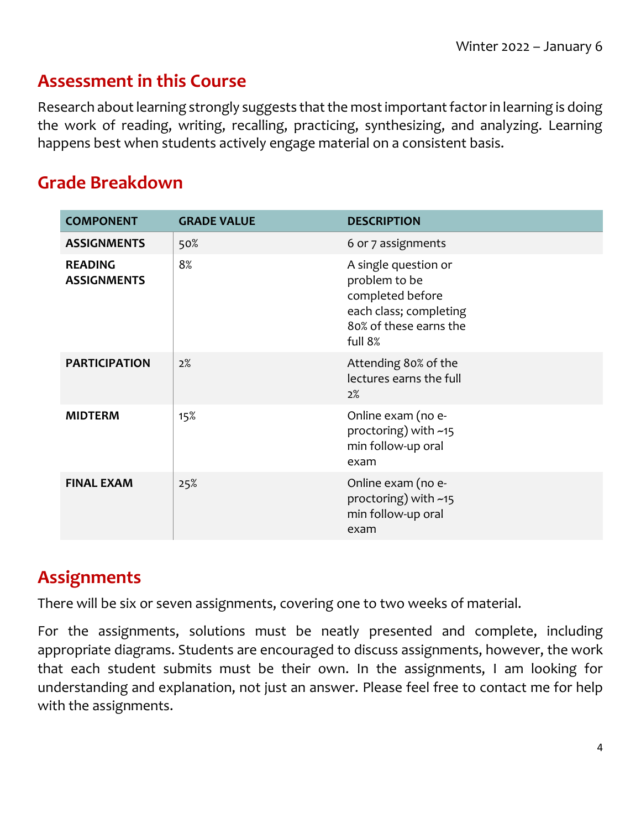#### **Assessment in this Course**

Research about learning strongly suggests that the most important factor in learning is doing the work of reading, writing, recalling, practicing, synthesizing, and analyzing. Learning happens best when students actively engage material on a consistent basis.

#### **Grade Breakdown**

| <b>COMPONENT</b>                     | <b>GRADE VALUE</b> | <b>DESCRIPTION</b>                                                                                                       |
|--------------------------------------|--------------------|--------------------------------------------------------------------------------------------------------------------------|
| <b>ASSIGNMENTS</b>                   | 50%                | 6 or 7 assignments                                                                                                       |
| <b>READING</b><br><b>ASSIGNMENTS</b> | 8%                 | A single question or<br>problem to be<br>completed before<br>each class; completing<br>80% of these earns the<br>full 8% |
| <b>PARTICIPATION</b>                 | 2%                 | Attending 80% of the<br>lectures earns the full<br>2%                                                                    |
| <b>MIDTERM</b>                       | 15%                | Online exam (no e-<br>proctoring) with ~15<br>min follow-up oral<br>exam                                                 |
| <b>FINAL EXAM</b>                    | 25%                | Online exam (no e-<br>proctoring) with ~15<br>min follow-up oral<br>exam                                                 |

#### **Assignments**

There will be six or seven assignments, covering one to two weeks of material.

For the assignments, solutions must be neatly presented and complete, including appropriate diagrams. Students are encouraged to discuss assignments, however, the work that each student submits must be their own. In the assignments, I am looking for understanding and explanation, not just an answer. Please feel free to contact me for help with the assignments.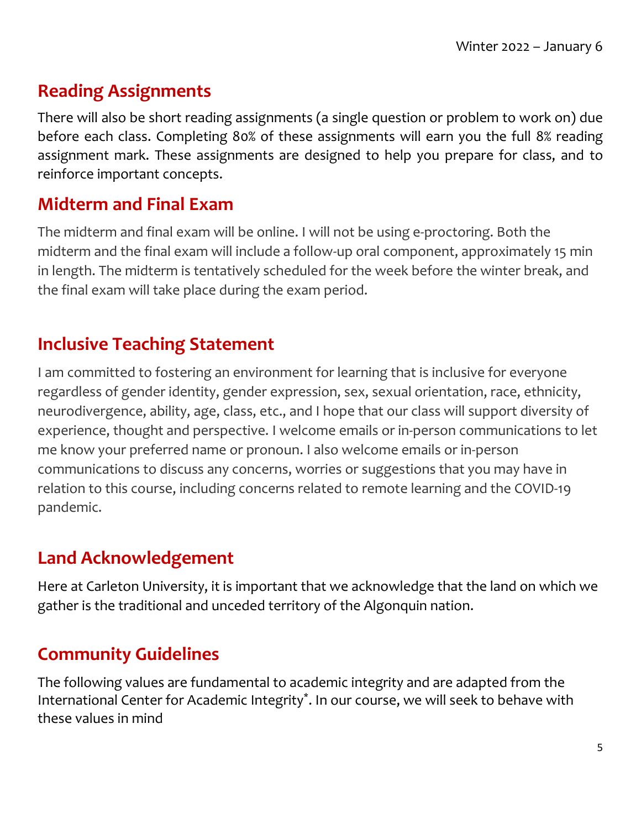#### **Reading Assignments**

There will also be short reading assignments (a single question or problem to work on) due before each class. Completing 80% of these assignments will earn you the full 8% reading assignment mark. These assignments are designed to help you prepare for class, and to reinforce important concepts.

#### **Midterm and Final Exam**

The midterm and final exam will be online. I will not be using e-proctoring. Both the midterm and the final exam will include a follow-up oral component, approximately 15 min in length. The midterm is tentatively scheduled for the week before the winter break, and the final exam will take place during the exam period.

#### **Inclusive Teaching Statement**

I am committed to fostering an environment for learning that is inclusive for everyone regardless of gender identity, gender expression, sex, sexual orientation, race, ethnicity, neurodivergence, ability, age, class, etc., and I hope that our class will support diversity of experience, thought and perspective. I welcome emails or in-person communications to let me know your preferred name or pronoun. I also welcome emails or in-person communications to discuss any concerns, worries or suggestions that you may have in relation to this course, including concerns related to remote learning and the COVID-19 pandemic.

# **Land Acknowledgement**

Here at Carleton University, it is important that we acknowledge that the land on which we gather is the traditional and unceded territory of the Algonquin nation.

# **Community Guidelines**

The following values are fundamental to academic integrity and are adapted from the International Center for Academic Integrity\* . In our course, we will seek to behave with these values in mind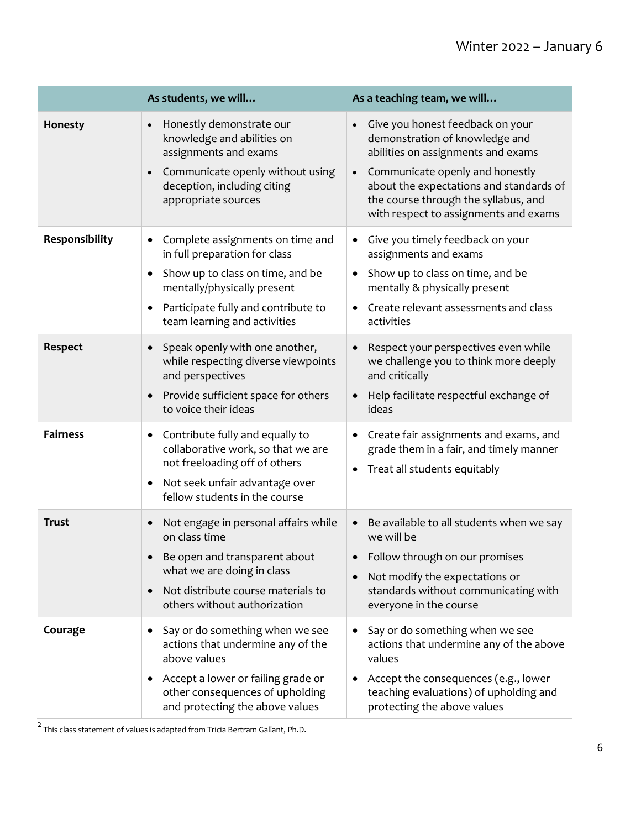|                 | As students, we will                                                                                                                                                                                                          | As a teaching team, we will                                                                                                                                                                                                                                                                       |
|-----------------|-------------------------------------------------------------------------------------------------------------------------------------------------------------------------------------------------------------------------------|---------------------------------------------------------------------------------------------------------------------------------------------------------------------------------------------------------------------------------------------------------------------------------------------------|
| Honesty         | Honestly demonstrate our<br>$\bullet$<br>knowledge and abilities on<br>assignments and exams<br>Communicate openly without using<br>deception, including citing<br>appropriate sources                                        | Give you honest feedback on your<br>$\bullet$<br>demonstration of knowledge and<br>abilities on assignments and exams<br>Communicate openly and honestly<br>$\bullet$<br>about the expectations and standards of<br>the course through the syllabus, and<br>with respect to assignments and exams |
| Responsibility  | Complete assignments on time and<br>٠<br>in full preparation for class<br>Show up to class on time, and be<br>$\bullet$<br>mentally/physically present<br>Participate fully and contribute to<br>team learning and activities | Give you timely feedback on your<br>$\bullet$<br>assignments and exams<br>Show up to class on time, and be<br>$\bullet$<br>mentally & physically present<br>Create relevant assessments and class<br>$\bullet$<br>activities                                                                      |
| <b>Respect</b>  | Speak openly with one another,<br>while respecting diverse viewpoints<br>and perspectives<br>Provide sufficient space for others<br>to voice their ideas                                                                      | Respect your perspectives even while<br>$\bullet$<br>we challenge you to think more deeply<br>and critically<br>Help facilitate respectful exchange of<br>ideas                                                                                                                                   |
| <b>Fairness</b> | Contribute fully and equally to<br>٠<br>collaborative work, so that we are<br>not freeloading off of others<br>Not seek unfair advantage over<br>$\bullet$<br>fellow students in the course                                   | Create fair assignments and exams, and<br>٠<br>grade them in a fair, and timely manner<br>Treat all students equitably<br>٠                                                                                                                                                                       |
| <b>Trust</b>    | Not engage in personal affairs while<br>on class time<br>• Be open and transparent about<br>what we are doing in class<br>Not distribute course materials to<br>$\bullet$<br>others without authorization                     | Be available to all students when we say<br>$\bullet$<br>we will be<br>• Follow through on our promises<br>Not modify the expectations or<br>$\bullet$<br>standards without communicating with<br>everyone in the course                                                                          |
| Courage         | Say or do something when we see<br>$\bullet$<br>actions that undermine any of the<br>above values<br>Accept a lower or failing grade or<br>٠<br>other consequences of upholding<br>and protecting the above values            | Say or do something when we see<br>$\bullet$<br>actions that undermine any of the above<br>values<br>Accept the consequences (e.g., lower<br>$\bullet$<br>teaching evaluations) of upholding and<br>protecting the above values                                                                   |

 $\overline{a}$  This class statement of values is adapted from Tricia Bertram Gallant, Ph.D.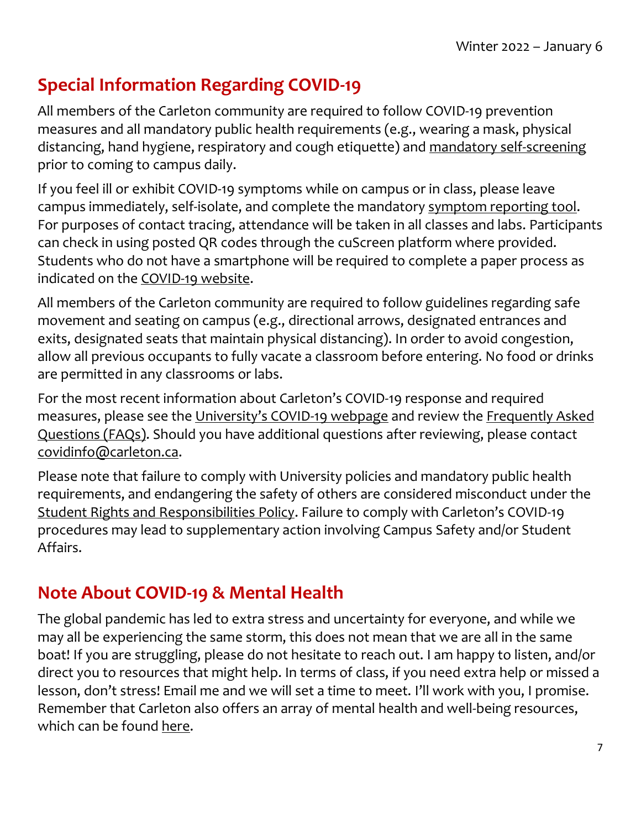# **Special Information Regarding COVID-19**

All members of the Carleton community are required to follow COVID-19 prevention measures and all mandatory public health requirements (e.g., wearing a mask, physical distancing, hand hygiene, respiratory and cough etiquette) and [mandatory self-screening](https://carleton.ca/covid19/screening/) prior to coming to campus daily.

If you feel ill or exhibit COVID-19 symptoms while on campus or in class, please leave campus immediately, self-isolate, and complete the mandatory [symptom reporting tool.](https://carleton.ca/covid19/covid-19-symptom-reporting/) For purposes of contact tracing, attendance will be taken in all classes and labs. Participants can check in using posted QR codes through the cuScreen platform where provided. Students who do not have a smartphone will be required to complete a paper process as indicated on the [COVID-19 website.](http://carleton.ca/covid19)

All members of the Carleton community are required to follow guidelines regarding safe movement and seating on campus (e.g., directional arrows, designated entrances and exits, designated seats that maintain physical distancing). In order to avoid congestion, allow all previous occupants to fully vacate a classroom before entering. No food or drinks are permitted in any classrooms or labs.

For the most recent information about Carleton's COVID-19 response and required measures, please see the [University's COVID](https://carleton.ca/covid19/)-19 webpage and review the [Frequently Asked](https://carleton.ca/covid19/faq/)  [Questions \(FAQs\).](https://carleton.ca/covid19/faq/) Should you have additional questions after reviewing, please contact [covidinfo@carleton.ca.](mailto:covidinfo@carleton.ca)

Please note that failure to comply with University policies and mandatory public health requirements, and endangering the safety of others are considered misconduct under the [Student Rights and Responsibilities Policy](https://carleton.ca/studentaffairs/student-rights-and-responsibilities/). Failure to comply with Carleton's COVID-19 procedures may lead to supplementary action involving Campus Safety and/or Student Affairs.

#### **Note About COVID-19 & Mental Health**

The global pandemic has led to extra stress and uncertainty for everyone, and while we may all be experiencing the same storm, this does not mean that we are all in the same boat! If you are struggling, please do not hesitate to reach out. I am happy to listen, and/or direct you to resources that might help. In terms of class, if you need extra help or missed a lesson, don't stress! Email me and we will set a time to meet. I'll work with you, I promise. Remember that Carleton also offers an array of mental health and well-being resources, which can be found [here.](https://carleton.ca/wellness/)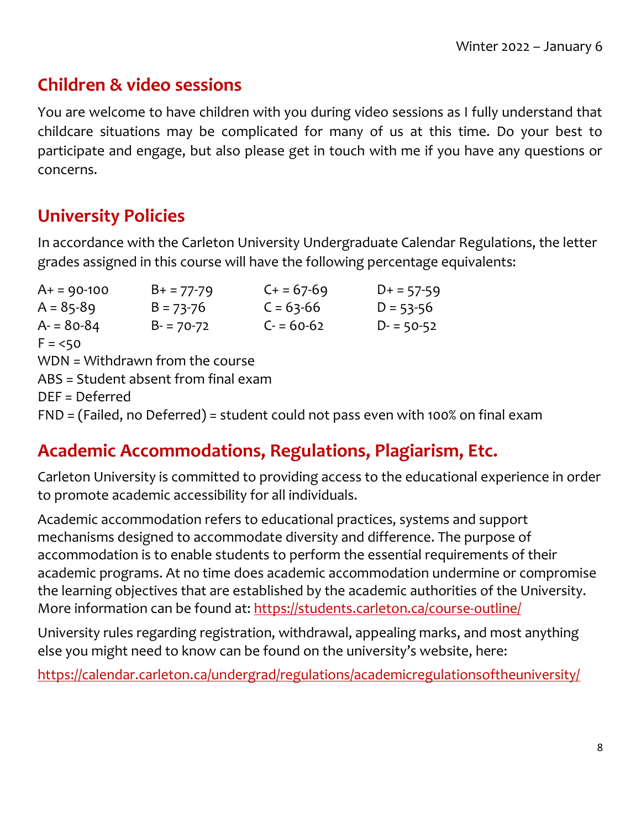#### **Children & video sessions**

You are welcome to have children with you during video sessions as I fully understand that childcare situations may be complicated for many of us at this time. Do your best to participate and engage, but also please get in touch with me if you have any questions or concerns.

# **University Policies**

In accordance with the Carleton University Undergraduate Calendar Regulations, the letter grades assigned in this course will have the following percentage equivalents:

 $A+ = 90-100$   $B+ = 77-79$   $C+ = 67-69$   $D+ = 57-59$  $A = 85-89$   $B = 73-76$   $C = 63-66$   $D = 53-56$  $A = 80-84$   $B = 70-72$   $C = 60-62$   $D = 50-52$  $F = 50$ WDN = Withdrawn from the course ABS = Student absent from final exam DEF = Deferred FND = (Failed, no Deferred) = student could not pass even with 100% on final exam

#### **Academic Accommodations, Regulations, Plagiarism, Etc.**

Carleton University is committed to providing access to the educational experience in order to promote academic accessibility for all individuals.

Academic accommodation refers to educational practices, systems and support mechanisms designed to accommodate diversity and difference. The purpose of accommodation is to enable students to perform the essential requirements of their academic programs. At no time does academic accommodation undermine or compromise the learning objectives that are established by the academic authorities of the University. More information can be found at:<https://students.carleton.ca/course-outline/>

University rules regarding registration, withdrawal, appealing marks, and most anything else you might need to know can be found on the university's website, here:

<https://calendar.carleton.ca/undergrad/regulations/academicregulationsoftheuniversity/>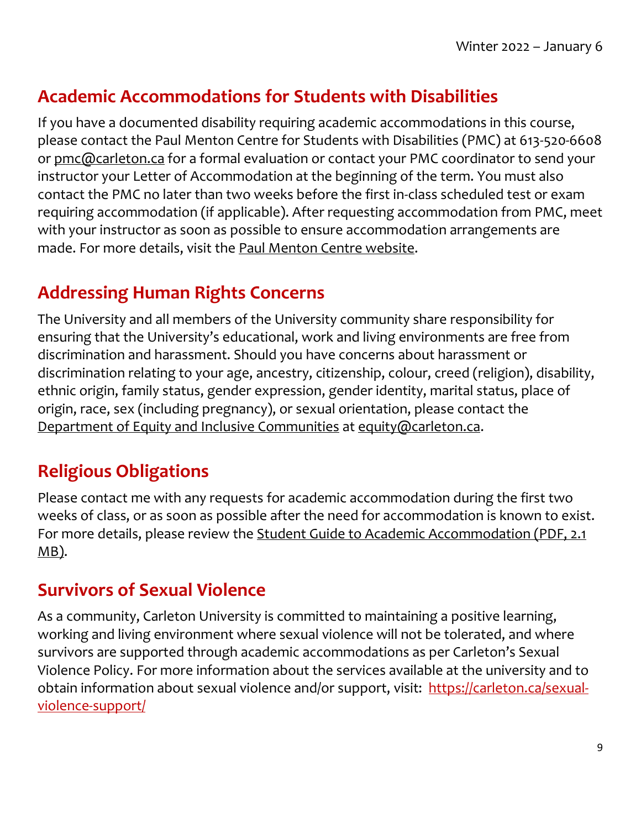#### **Academic Accommodations for Students with Disabilities**

If you have a documented disability requiring academic accommodations in this course, please contact the Paul Menton Centre for Students with Disabilities (PMC) at 613-520-6608 or [pmc@carleton.ca](mailto:pmc@carleton.ca) for a formal evaluation or contact your PMC coordinator to send your instructor your Letter of Accommodation at the beginning of the term. You must also contact the PMC no later than two weeks before the first in-class scheduled test or exam requiring accommodation (if applicable). After requesting accommodation from PMC, meet with your instructor as soon as possible to ensure accommodation arrangements are made. For more details, visit the [Paul Menton Centre website.](http://carleton.ca/pmc)

#### **Addressing Human Rights Concerns**

The University and all members of the University community share responsibility for ensuring that the University's educational, work and living environments are free from discrimination and harassment. Should you have concerns about harassment or discrimination relating to your age, ancestry, citizenship, colour, creed (religion), disability, ethnic origin, family status, gender expression, gender identity, marital status, place of origin, race, sex (including pregnancy), or sexual orientation, please contact the [Department of Equity and Inclusive Communities](https://carleton.ca/equity/) at [equity@carleton.ca.](mailto:equity@carleton.ca)

# **Religious Obligations**

Please contact me with any requests for academic accommodation during the first two weeks of class, or as soon as possible after the need for accommodation is known to exist. For more details, please review the [Student Guide to Academic Accommodation \(PDF, 2.1](https://carleton.ca/equity/wp-content/uploads/Student-Guide-to-Academic-Accommodation.pdf)  [MB\).](https://carleton.ca/equity/wp-content/uploads/Student-Guide-to-Academic-Accommodation.pdf)

#### **Survivors of Sexual Violence**

As a community, Carleton University is committed to maintaining a positive learning, working and living environment where sexual violence will not be tolerated, and where survivors are supported through academic accommodations as per Carleton's Sexual Violence Policy. For more information about the services available at the university and to obtain information about sexual violence and/or support, visit: [https://carleton.ca/sexual](https://carleton.ca/sexual-violence-support/)[violence-support/](https://carleton.ca/sexual-violence-support/)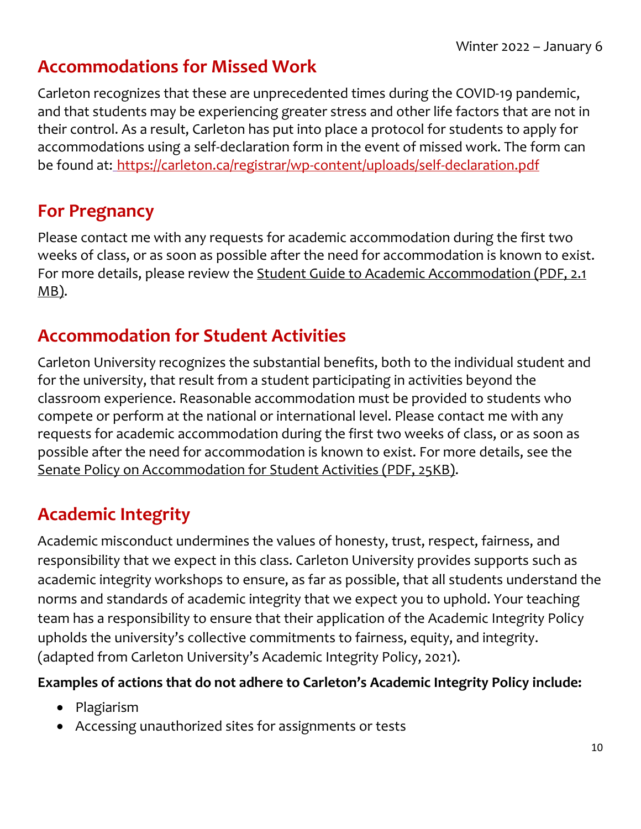#### **Accommodations for Missed Work**

Carleton recognizes that these are unprecedented times during the COVID-19 pandemic, and that students may be experiencing greater stress and other life factors that are not in their control. As a result, Carleton has put into place a protocol for students to apply for accommodations using a self-declaration form in the event of missed work. The form can be found at: <https://carleton.ca/registrar/wp-content/uploads/self-declaration.pdf>

#### **For Pregnancy**

Please contact me with any requests for academic accommodation during the first two weeks of class, or as soon as possible after the need for accommodation is known to exist. For more details, please review the [Student Guide to Academic Accommodation](https://carleton.ca/equity/wp-content/uploads/Student-Guide-to-Academic-Accommodation.pdf) (PDF, 2.1 [MB\).](https://carleton.ca/equity/wp-content/uploads/Student-Guide-to-Academic-Accommodation.pdf)

#### **Accommodation for Student Activities**

Carleton University recognizes the substantial benefits, both to the individual student and for the university, that result from a student participating in activities beyond the classroom experience. Reasonable accommodation must be provided to students who compete or perform at the national or international level. Please contact me with any requests for academic accommodation during the first two weeks of class, or as soon as possible after the need for accommodation is known to exist. For more details, see the [Senate Policy on Accommodation for Student Activities \(PDF, 25KB\).](https://carleton.ca/senate/wp-content/uploads/Accommodation-for-Student-Activities-1.pdf)

# **Academic Integrity**

Academic misconduct undermines the values of honesty, trust, respect, fairness, and responsibility that we expect in this class. Carleton University provides supports such as academic integrity workshops to ensure, as far as possible, that all students understand the norms and standards of academic integrity that we expect you to uphold. Your teaching team has a responsibility to ensure that their application of the Academic Integrity Policy upholds the university's collective commitments to fairness, equity, and integrity. (adapted from Carleton University's Academic Integrity Policy, 2021).

#### **Examples of actions that do not adhere to Carleton's Academic Integrity Policy include:**

- Plagiarism
- Accessing unauthorized sites for assignments or tests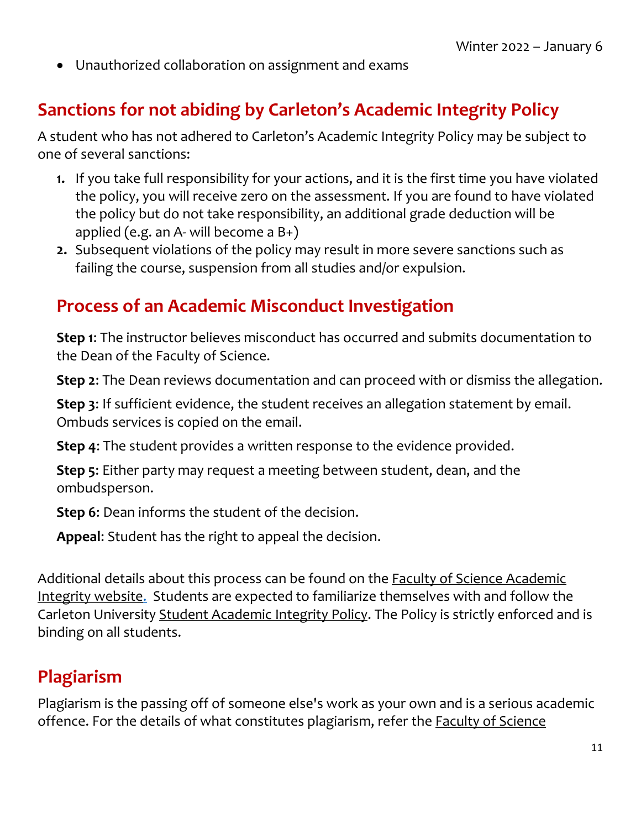• Unauthorized collaboration on assignment and exams

#### **Sanctions for not abiding by Carleton's Academic Integrity Policy**

A student who has not adhered to Carleton's Academic Integrity Policy may be subject to one of several sanctions:

- **1.** If you take full responsibility for your actions, and it is the first time you have violated the policy, you will receive zero on the assessment. If you are found to have violated the policy but do not take responsibility, an additional grade deduction will be applied (e.g. an A- will become a  $B_{+}$ )
- **2.** Subsequent violations of the policy may result in more severe sanctions such as failing the course, suspension from all studies and/or expulsion.

#### **Process of an Academic Misconduct Investigation**

**Step 1**: The instructor believes misconduct has occurred and submits documentation to the Dean of the Faculty of Science.

**Step 2**: The Dean reviews documentation and can proceed with or dismiss the allegation.

**Step 3**: If sufficient evidence, the student receives an allegation statement by email. Ombuds services is copied on the email.

**Step 4**: The student provides a written response to the evidence provided.

**Step 5**: Either party may request a meeting between student, dean, and the ombudsperson.

**Step 6**: Dean informs the student of the decision.

**Appeal**: Student has the right to appeal the decision.

Additional details about this process can be found on [the Faculty of Science Academic](https://science.carleton.ca/academic-integrity/)  [Integrity website.](https://science.carleton.ca/academic-integrity/) Students are expected to familiarize themselves with and follow the Carleton University [Student Academic Integrity Policy.](https://carleton.ca/registrar/academic-integrity/) The Policy is strictly enforced and is binding on all students.

#### **Plagiarism**

Plagiarism is the passing off of someone else's work as your own and is a serious academic offence. For the details of what constitutes plagiarism, refer the **Faculty of Science**